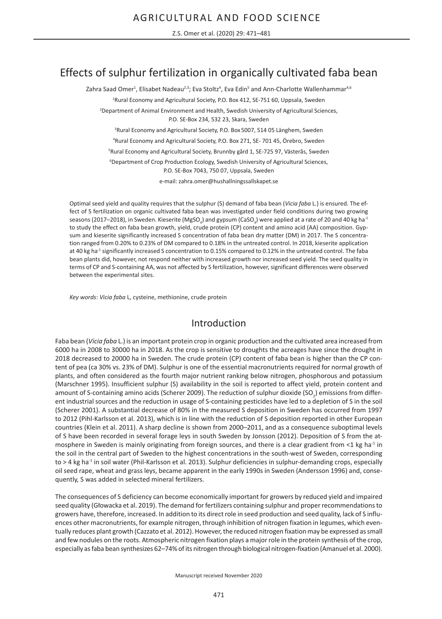Z.S. Omer et al. (2020) 29: 471–481

# Effects of sulphur fertilization in organically cultivated faba bean

Zahra Saad Omer<sup>1</sup>, Elisabet Nadeau<sup>2,3</sup>; Eva Stoltz<sup>4</sup>, Eva Edin<sup>5</sup> and Ann-Charlotte Wallenhammar<sup>4,6</sup>

<sup>1</sup>Rural Economy and Agricultural Society, P.O. Box 412, SE-751 60, Uppsala, Sweden

2 Department of Animal Environment and Health, Swedish University of Agricultural Sciences, P.O. SE-Box 234, 532 23, Skara, Sweden

3 Rural Economy and Agricultural Society, P.O. Box 5007, 514 05 Länghem, Sweden

4 Rural Economy and Agricultural Society, P.O. Box 271, SE- 701 45, Örebro, Sweden

5 Rural Economy and Agricultural Society, Brunnby gård 1, SE-725 97, Västerås, Sweden

<sup>6</sup>Department of Crop Production Ecology, Swedish University of Agricultural Sciences, P.O. SE-Box 7043, 750 07, Uppsala, Sweden

e-mail: zahra.omer@hushallningssallskapet.se

Optimal seed yield and quality requires that the sulphur (S) demand of faba bean (*Vicia faba* L.) is ensured. The effect of S fertilization on organic cultivated faba bean was investigated under field conditions during two growing seasons (2017–2018), in Sweden. Kieserite (MgSO<sub>4</sub>) and gypsum (CaSO<sub>4</sub>) were applied at a rate of 20 and 40 kg ha<sup>-1</sup> to study the effect on faba bean growth, yield, crude protein (CP) content and amino acid (AA) composition. Gypsum and kieserite significantly increased S concentration of faba bean dry matter (DM) in 2017. The S concentration ranged from 0.20% to 0.23% of DM compared to 0.18% in the untreated control. In 2018, kieserite application at 40 kg ha<sup>-1</sup> significantly increased S concentration to 0.15% compared to 0.12% in the untreated control. The faba bean plants did, however, not respond neither with increased growth nor increased seed yield. The seed quality in terms of CP and S-containing AA, was not affected by S fertilization, however, significant differences were observed between the experimental sites.

*Key words*: *Vicia faba* L, cysteine, methionine, crude protein

## Introduction

Faba bean (*Vicia faba* L.) is an important protein crop in organic production and the cultivated area increased from 6000 ha in 2008 to 30000 ha in 2018. As the crop is sensitive to droughts the acreages have since the drought in 2018 decreased to 20000 ha in Sweden. The crude protein (CP) content of faba bean is higher than the CP content of pea (ca 30% vs. 23% of DM). Sulphur is one of the essential macronutrients required for normal growth of plants, and often considered as the fourth major nutrient ranking below nitrogen, phosphorous and potassium (Marschner 1995). Insufficient sulphur (S) availability in the soil is reported to affect yield, protein content and amount of S-containing amino acids (Scherer 2009). The reduction of sulphur dioxide (SO<sub>2</sub>) emissions from different industrial sources and the reduction in usage of S-containing pesticides have led to a depletion of S in the soil (Scherer 2001). A substantial decrease of 80% in the measured S deposition in Sweden has occurred from 1997 to 2012 (Pihl-Karlsson et al. 2013), which is in line with the reduction of S deposition reported in other European countries (Klein et al. 2011). A sharp decline is shown from 2000–2011, and as a consequence suboptimal levels of S have been recorded in several forage leys in south Sweden by Jonsson (2012). Deposition of S from the atmosphere in Sweden is mainly originating from foreign sources, and there is a clear gradient from <1 kg ha<sup>-1</sup> in the soil in the central part of Sweden to the highest concentrations in the south-west of Sweden, corresponding to > 4 kg ha<sup>-1</sup> in soil water (Phil-Karlsson et al. 2013). Sulphur deficiencies in sulphur-demanding crops, especially oil seed rape, wheat and grass leys, became apparent in the early 1990s in Sweden (Andersson 1996) and, consequently, S was added in selected mineral fertilizers.

The consequences of S deficiency can become economically important for growers by reduced yield and impaired seed quality (Głowacka et al. 2019). The demand for fertilizers containing sulphur and proper recommendations to growers have, therefore, increased. In addition to its direct role in seed production and seed quality, lack of S influences other macronutrients, for example nitrogen, through inhibition of nitrogen fixation in legumes, which eventually reduces plant growth (Cazzato et al. 2012). However, the reduced nitrogen fixation may be expressed as small and few nodules on the roots. Atmospheric nitrogen fixation plays a major role in the protein synthesis of the crop, especially as faba bean synthesizes 62–74% of its nitrogen through biological nitrogen-fixation (Amanuel et al. 2000).

Manuscript received November 2020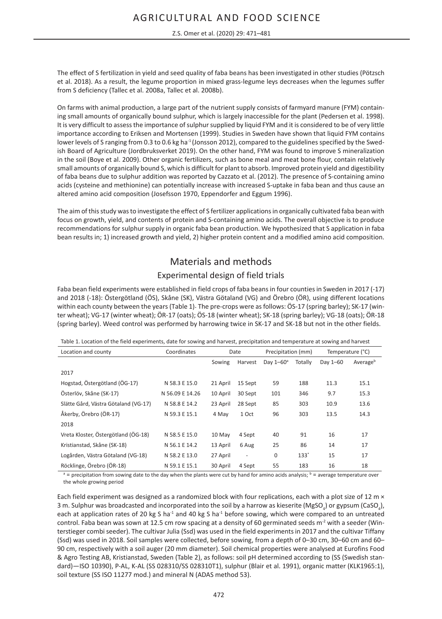The effect of S fertilization in yield and seed quality of faba beans has been investigated in other studies (Pötzsch et al. 2018). As a result, the legume proportion in mixed grass-legume leys decreases when the legumes suffer from S deficiency (Tallec et al. 2008a, Tallec et al. 2008b).

On farms with animal production, a large part of the nutrient supply consists of farmyard manure (FYM) containing small amounts of organically bound sulphur, which is largely inaccessible for the plant (Pedersen et al. 1998). It is very difficult to assess the importance of sulphur supplied by liquid FYM and it is considered to be of very little importance according to Eriksen and Mortensen (1999). Studies in Sweden have shown that liquid FYM contains lower levels of S ranging from 0.3 to 0.6 kg ha<sup>-1</sup> (Jonsson 2012), compared to the guidelines specified by the Swedish Board of Agriculture (Jordbruksverket 2019). On the other hand, FYM was found to improve S mineralization in the soil (Boye et al. 2009). Other organic fertilizers, such as bone meal and meat bone flour, contain relatively small amounts of organically bound S, which is difficult for plant to absorb. Improved protein yield and digestibility of faba beans due to sulphur addition was reported by Cazzato et al. (2012). The presence of S-containing amino acids (cysteine and methionine) can potentially increase with increased S-uptake in faba bean and thus cause an altered amino acid composition (Josefsson 1970, Eppendorfer and Eggum 1996).

The aim of this study was to investigate the effect of S fertilizer applications in organically cultivated faba bean with focus on growth, yield, and contents of protein and S-containing amino acids. The overall objective is to produce recommendations for sulphur supply in organic faba bean production. We hypothesized that S application in faba bean results in; 1) increased growth and yield, 2) higher protein content and a modified amino acid composition.

## Materials and methods

### Experimental design of field trials

Faba bean field experiments were established in field crops of faba beans in four counties in Sweden in 2017 (-17) and 2018 (-18): Östergötland (ÖS), Skåne (SK), Västra Götaland (VG) and Örebro (ÖR), using different locations within each county between the years (Table 1). The pre-crops were as follows: ÖS-17 (spring barley); SK-17 (winter wheat); VG-17 (winter wheat); ÖR-17 (oats); ÖS-18 (winter wheat); SK-18 (spring barley); VG-18 (oats); ÖR-18 (spring barley). Weed control was performed by harrowing twice in SK-17 and SK-18 but not in the other fields.

Table 1. Location of the field experiments, date for sowing and harvest, precipitation and temperature at sowing and harvest

| Location and county                  | Coordinates     |          | Date                     | Precipitation (mm) |         | Temperature (°C) |                      |
|--------------------------------------|-----------------|----------|--------------------------|--------------------|---------|------------------|----------------------|
|                                      |                 | Sowing   | Harvest                  | Dav $1-60^\circ$   | Totally | Day 1-60         | Average <sup>b</sup> |
| 2017                                 |                 |          |                          |                    |         |                  |                      |
| Hogstad, Östergötland (ÖG-17)        | N 58.3 E 15.0   | 21 April | 15 Sept                  | 59                 | 188     | 11.3             | 15.1                 |
| Österlöv, Skåne (SK-17)              | N 56.09 E 14.26 | 10 April | 30 Sept                  | 101                | 346     | 9.7              | 15.3                 |
| Slätte Gård, Västra Götaland (VG-17) | N 58.8 E 14.2   | 23 April | 28 Sept                  | 85                 | 303     | 10.9             | 13.6                 |
| Åkerby, Örebro (ÖR-17)               | N 59.3 E 15.1   | 4 May    | 1 Oct                    | 96                 | 303     | 13.5             | 14.3                 |
| 2018                                 |                 |          |                          |                    |         |                  |                      |
| Vreta Kloster, Östergötland (ÖG-18)  | N 58.5 E 15.0   | 10 May   | 4 Sept                   | 40                 | 91      | 16               | 17                   |
| Kristianstad, Skåne (SK-18)          | N 56.1 E 14.2   | 13 April | 6 Aug                    | 25                 | 86      | 14               | 17                   |
| Logården, Västra Götaland (VG-18)    | N 58.2 E 13.0   | 27 April | $\overline{\phantom{a}}$ | 0                  | $133*$  | 15               | 17                   |
| Röcklinge, Örebro (ÖR-18)            | N 59.1 E 15.1   | 30 April | 4 Sept                   | 55                 | 183     | 16               | 18                   |

 $a =$  precipitation from sowing date to the day when the plants were cut by hand for amino acids analysis;  $b =$  average temperature over the whole growing period

Each field experiment was designed as a randomized block with four replications, each with a plot size of 12 m  $\times$ 3 m. Sulphur was broadcasted and incorporated into the soil by a harrow as kieserite (MgSO<sub>4</sub>) or gypsum (CaSO<sub>4</sub>), each at application rates of 20 kg S ha<sup>-1</sup> and 40 kg S ha<sup>-1</sup> before sowing, which were compared to an untreated control. Faba bean was sown at 12.5 cm row spacing at a density of 60 germinated seeds m<sup>-2</sup> with a seeder (Winterstieger combi seeder). The cultivar Julia (Ssd) was used in the field experiments in 2017 and the cultivar Tiffany (Ssd) was used in 2018. Soil samples were collected, before sowing, from a depth of 0–30 cm, 30–60 cm and 60– 90 cm, respectively with a soil auger (20 mm diameter). Soil chemical properties were analysed at Eurofins Food & Agro Testing AB, Kristianstad, Sweden (Table 2), as follows: soil pH determined according to (SS (Swedish standard)—ISO 10390), P-AL, K-AL (SS 028310/SS 028310T1), sulphur (Blair et al. 1991), organic matter (KLK1965:1), soil texture (SS ISO 11277 mod.) and mineral N (ADAS method 53).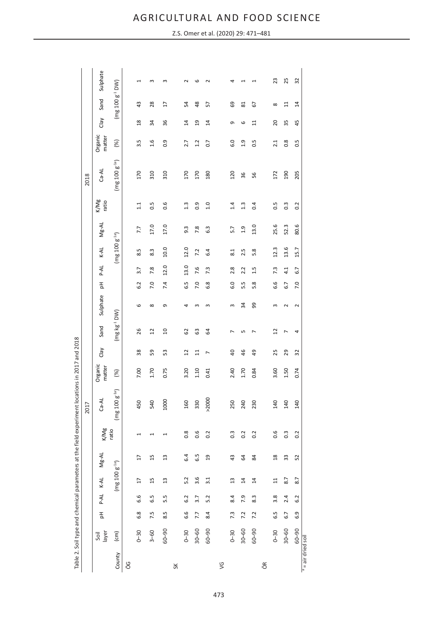|                  |               |     |        |                    |                |                          | Table 2. Soil type and chemical parameters at the field experiment locations in 2017 and 2018 |                   |                |                |            |                  |      |                    |          |                  |                    |                   |                |                   |             |
|------------------|---------------|-----|--------|--------------------|----------------|--------------------------|-----------------------------------------------------------------------------------------------|-------------------|----------------|----------------|------------|------------------|------|--------------------|----------|------------------|--------------------|-------------------|----------------|-------------------|-------------|
|                  |               |     |        |                    |                |                          | 2017                                                                                          |                   |                |                |            |                  |      |                    |          |                  | 2018               |                   |                |                   |             |
|                  | layer<br>Soil | 공   | P-AL   | $K-AL$             | $Mg-AL$        | K/Mg                     | $Ca-AL$                                                                                       | Organic<br>matter | Clay           | Sand           | Sulphate   | 공                | P-AL | K-AL               | Mg-AL    | K/Mg<br>ratio    | $CA-AL$            | Organic<br>matter | Clay           | Sand              | Sulphate    |
| County           | $\epsilon$ m) |     |        | $(mg 100 g^{-1a})$ |                | ratio                    | $(mg 100 g-1a)$                                                                               | (%)               |                | $(mg kg-1 DW)$ |            |                  |      | $(mg 100 g^{-1a})$ |          |                  | $(mg 100 g^{-1a})$ | (%)               |                | $(mg 100 g-1 DW)$ |             |
| ÖG               |               |     |        |                    |                |                          |                                                                                               |                   |                |                |            |                  |      |                    |          |                  |                    |                   |                |                   |             |
|                  | $0 - 30$      | 6.8 | ڢ<br>ق | $\overline{17}$    | $\overline{1}$ | $\overline{\phantom{0}}$ | 450                                                                                           | 7.00              | 38             | 26             | 6          | 6.2              | 3.7  | 8.5                | 7.7      | 1.1              | 170                | 3.5               | $\frac{8}{18}$ | 43                | 4           |
|                  | $3 - 60$      | 7.5 | 6.5    | 15                 | 15             | $\overline{\phantom{0}}$ | 540                                                                                           | 1.70              | 59             | $\overline{c}$ | $\infty$   | 7.0              | 7.8  | 8.3                | 17.0     | 0.5              | 310                | 1.6               | 54             | 28                | w           |
|                  | 06-09         | 8.5 | 5.5    | $\mathfrak{u}$     | $\mathfrak{u}$ | Ţ                        | 1000                                                                                          | 0.75              | 53             | $\overline{a}$ | G          | 7.4              | 12.0 | 10.0               | 17.0     | 0.6              | 310                | 0.9               | 36             | H                 | S           |
| $\frac{8}{5}$    |               |     |        |                    |                |                          |                                                                                               |                   |                |                |            |                  |      |                    |          |                  |                    |                   |                |                   |             |
|                  | $0 - 30$      | 6.6 | 6.2    | 5.2                | 6.4            | $0.\overline{8}$         | 160                                                                                           | 3.20              | $\overline{1}$ | 3              | 4          | 6.5              | 13.0 | 12.0               | 9.3      | 1.3              | 170                | 2.7               | $\sharp$       | 54                | $\mathbf 2$ |
|                  | $30 - 60$     | 7.7 | 3.7    | 3.6                | 6.5            | 0.6                      | 330                                                                                           | 1.10              | 늽              | යි             | $\epsilon$ | 7.0              | 7.6  | 7.2                | 7.8      | 0.9              | 170                | 1.2               | $\overline{a}$ | $\frac{8}{3}$     | G           |
|                  | 06-09         | 8.4 | 5.2    | 3.1                | $\overline{a}$ | 0.2                      | >2000                                                                                         | 0.41              | $\overline{ }$ | $\mathfrak{q}$ | S          | œ<br>نما         | 7.3  | 6.4                | 6.3      | 1.0              | 180                | 0.7               | $\overline{4}$ | 57                | $\mathbf 2$ |
| $\sqrt{2}$       |               |     |        |                    |                |                          |                                                                                               |                   |                |                |            |                  |      |                    |          |                  |                    |                   |                |                   |             |
|                  | $0 - 30$      | 7.3 | 8.4    | $\frac{3}{2}$      | $\overline{4}$ | $0.\overline{3}$         | 250                                                                                           | 2.40              | $\overline{a}$ | L              | S          | $\overline{6.0}$ | 2.8  | $\overline{8.1}$   | 5.7      | 1.4              | 120                | 6.0               | G              | ශ                 | 4           |
|                  | $30 - 60$     | 7.2 | 7.9    | $\overline{1}$     | 3              | 0.2                      | 240                                                                                           | 1.70              | 46             | S              | 34         | 5.5              | 2.2  | 2.5                | $^{0.1}$ | $1.\overline{3}$ | 36                 | $\frac{9}{1}$     | 6              | 81                |             |
|                  | 06-09         | 7.2 | 8.3    | $\overline{1}$     | 84             | 0.2                      | 230                                                                                           | 0.84              | 49             | r              | 99         | 5.8              | 1.5  | 5.8                | 13.0     | 0.4              | 56                 | 0.5               | $\Xi$          | 5                 |             |
| öŘ               |               |     |        |                    |                |                          |                                                                                               |                   |                |                |            |                  |      |                    |          |                  |                    |                   |                |                   |             |
|                  | $0 - 30$      | 6.5 | 3.8    | $\Xi$              | $\frac{8}{10}$ | 0.6                      | 140                                                                                           | 3.60              | 25             | $\overline{c}$ | 3          | 6.6              | 7.3  | 12.3               | 25.6     | 0.5              | 172                | 2.1               | 20             | $\infty$          | 23          |
|                  | $30 - 60$     | 6.7 | 2.4    | 8.7                | 33             | $\frac{3}{2}$            | 140                                                                                           | 1.50              | 29             | $\overline{ }$ | $\sim$     | 6.7              | 4.1  | 13.6               | 52.3     | $0.\overline{3}$ | 190                | $0.\overline{8}$  | 55             | 님                 | 25          |
|                  | $06 - 00$     | 6.9 | 6.2    | 8.7                | 52             | 0.2                      | <b>140</b>                                                                                    | 0.74              | 32             | 4              | $\sim$     | 7.0              | 6.7  | 15.7               | 80.6     | 0.2              | 205                | 0.5               | 45             | $\overline{4}$    | 32          |
| = air dried soil |               |     |        |                    |                |                          |                                                                                               |                   |                |                |            |                  |      |                    |          |                  |                    |                   |                |                   |             |

Z.S. Omer et al. (2020) 29: 471–481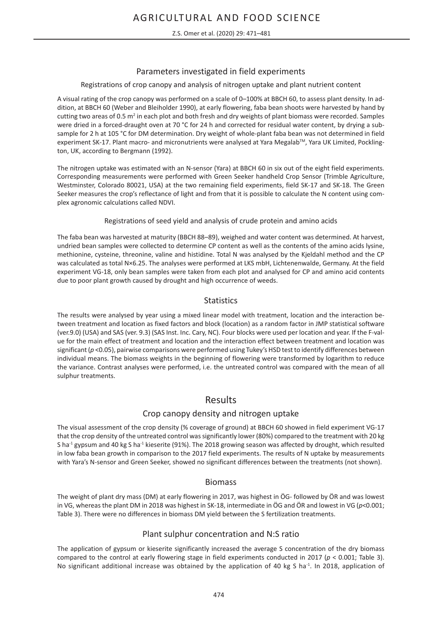Z.S. Omer et al. (2020) 29: 471–481

### Parameters investigated in field experiments

#### Registrations of crop canopy and analysis of nitrogen uptake and plant nutrient content

A visual rating of the crop canopy was performed on a scale of 0–100% at BBCH 60, to assess plant density. In addition, at BBCH 60 (Weber and Bleiholder 1990), at early flowering, faba bean shoots were harvested by hand by cutting two areas of 0.5 m<sup>2</sup> in each plot and both fresh and dry weights of plant biomass were recorded. Samples were dried in a forced-draught oven at 70 °C for 24 h and corrected for residual water content, by drying a subsample for 2 h at 105 °C for DM determination. Dry weight of whole-plant faba bean was not determined in field experiment SK-17. Plant macro- and micronutrients were analysed at Yara Megalab<sup>TM</sup>, Yara UK Limited, Pocklington, UK, according to Bergmann (1992).

The nitrogen uptake was estimated with an N-sensor (Yara) at BBCH 60 in six out of the eight field experiments. Corresponding measurements were performed with Green Seeker handheld Crop Sensor (Trimble Agriculture, Westminster, Colorado 80021, USA) at the two remaining field experiments, field SK-17 and SK-18. The Green Seeker measures the crop's reflectance of light and from that it is possible to calculate the N content using complex agronomic calculations called NDVI.

#### Registrations of seed yield and analysis of crude protein and amino acids

The faba bean was harvested at maturity (BBCH 88–89), weighed and water content was determined. At harvest, undried bean samples were collected to determine CP content as well as the contents of the amino acids lysine, methionine, cysteine, threonine, valine and histidine. Total N was analysed by the Kjeldahl method and the CP was calculated as total N×6.25. The analyses were performed at LKS mbH, Lichtenenwalde, Germany. At the field experiment VG-18, only bean samples were taken from each plot and analysed for CP and amino acid contents due to poor plant growth caused by drought and high occurrence of weeds.

### **Statistics**

The results were analysed by year using a mixed linear model with treatment, location and the interaction between treatment and location as fixed factors and block (location) as a random factor in JMP statistical software (ver.9.0) (USA) and SAS (ver. 9.3) (SAS Inst. Inc. Cary, NC). Four blocks were used per location and year. If the F-value for the main effect of treatment and location and the interaction effect between treatment and location was significant (*p* <0.05), pairwise comparisons were performed using Tukey's HSD test to identify differences between individual means. The biomass weights in the beginning of flowering were transformed by logarithm to reduce the variance. Contrast analyses were performed, i.e. the untreated control was compared with the mean of all sulphur treatments.

## Results

### Crop canopy density and nitrogen uptake

The visual assessment of the crop density (% coverage of ground) at BBCH 60 showed in field experiment VG-17 that the crop density of the untreated control was significantly lower (80%) compared to the treatment with 20 kg S ha<sup>-1</sup> gypsum and 40 kg S ha<sup>-1</sup> kieserite (91%). The 2018 growing season was affected by drought, which resulted in low faba bean growth in comparison to the 2017 field experiments. The results of N uptake by measurements with Yara's N-sensor and Green Seeker, showed no significant differences between the treatments (not shown).

### Biomass

The weight of plant dry mass (DM) at early flowering in 2017, was highest in ÖG- followed by ÖR and was lowest in VG, whereas the plant DM in 2018 was highest in SK-18, intermediate in ÖG and ÖR and lowest in VG (*p*<0.001; Table 3). There were no differences in biomass DM yield between the S fertilization treatments.

### Plant sulphur concentration and N:S ratio

The application of gypsum or kieserite significantly increased the average S concentration of the dry biomass compared to the control at early flowering stage in field experiments conducted in 2017 (*p* < 0.001; Table 3). No significant additional increase was obtained by the application of 40 kg S ha<sup>-1</sup>. In 2018, application of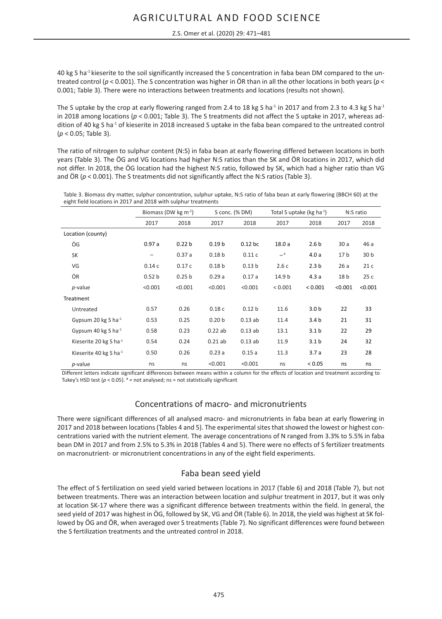40 kg S ha-1 kieserite to the soil significantly increased the S concentration in faba bean DM compared to the untreated control (*p* < 0.001). The S concentration was higher in ÖR than in all the other locations in both years (*p* < 0.001; Table 3). There were no interactions between treatments and locations (results not shown).

The S uptake by the crop at early flowering ranged from 2.4 to 18 kg S ha<sup>-1</sup> in 2017 and from 2.3 to 4.3 kg S ha<sup>-1</sup> in 2018 among locations (*p* < 0.001; Table 3). The S treatments did not affect the S uptake in 2017, whereas addition of 40 kg S ha<sup>-1</sup> of kieserite in 2018 increased S uptake in the faba bean compared to the untreated control (*p* < 0.05; Table 3).

The ratio of nitrogen to sulphur content (N:S) in faba bean at early flowering differed between locations in both years (Table 3). The ÖG and VG locations had higher N:S ratios than the SK and ÖR locations in 2017, which did not differ. In 2018, the ÖG location had the highest N:S ratio, followed by SK, which had a higher ratio than VG and ÖR ( $p$  < 0.001). The S treatments did not significantly affect the N:S ratios (Table 3).

|                                                                | Table 3. Biomass dry matter, sulphur concentration, sulphur uptake, N:S ratio of faba bean at early flowering (BBCH 60) at the |
|----------------------------------------------------------------|--------------------------------------------------------------------------------------------------------------------------------|
| eight field locations in 2017 and 2018 with sulphur treatments |                                                                                                                                |

|                           | Biomass (DW $kg \, \text{m}^{-2}$ ) |                   |                   | S conc. (% DM)    |         | Total S uptake ( $kg$ ha <sup>-1</sup> ) |                 | N:S ratio       |
|---------------------------|-------------------------------------|-------------------|-------------------|-------------------|---------|------------------------------------------|-----------------|-----------------|
|                           | 2017                                | 2018              | 2017              | 2018              | 2017    | 2018                                     | 2017            | 2018            |
| Location (county)         |                                     |                   |                   |                   |         |                                          |                 |                 |
| ÖG                        | 0.97a                               | 0.22 <sub>b</sub> | 0.19 <sub>b</sub> | $0.12$ bc         | 18.0a   | 2.6 <sub>b</sub>                         | 30a             | 46 a            |
| SK                        | -                                   | 0.37a             | 0.18 <sub>b</sub> | 0.11c             | $-$ a   | 4.0a                                     | 17 <sub>b</sub> | 30 <sub>b</sub> |
| VG                        | 0.14c                               | 0.17c             | 0.18 <sub>b</sub> | 0.13 <sub>b</sub> | 2.6c    | 2.3 <sub>b</sub>                         | 26a             | 21c             |
| ÖR                        | 0.52 <sub>b</sub>                   | 0.25 <sub>b</sub> | 0.29a             | 0.17a             | 14.9 b  | 4.3a                                     | 18 b            | 25c             |
| $p$ -value                | < 0.001                             | < 0.001           | < 0.001           | < 0.001           | < 0.001 | < 0.001                                  | < 0.001         | < 0.001         |
| Treatment                 |                                     |                   |                   |                   |         |                                          |                 |                 |
| Untreated                 | 0.57                                | 0.26              | 0.18c             | 0.12 <sub>b</sub> | 11.6    | 3.0 <sub>b</sub>                         | 22              | 33              |
| Gypsum 20 kg S ha $^{-1}$ | 0.53                                | 0.25              | 0.20 <sub>b</sub> | 0.13ab            | 11.4    | 3.4 <sub>b</sub>                         | 21              | 31              |
| Gypsum 40 kg S ha $^{-1}$ | 0.58                                | 0.23              | 0.22ab            | 0.13ab            | 13.1    | 3.1 <sub>b</sub>                         | 22              | 29              |
| Kieserite 20 kg S ha-1    | 0.54                                | 0.24              | $0.21$ ab         | 0.13ab            | 11.9    | 3.1 <sub>b</sub>                         | 24              | 32              |
| Kieserite 40 kg S ha-1    | 0.50                                | 0.26              | 0.23a             | 0.15a             | 11.3    | 3.7a                                     | 23              | 28              |
| $p$ -value                | ns                                  | ns                | < 0.001           | < 0.001           | ns      | < 0.05                                   | ns              | ns              |

Different letters indicate significant differences between means within a column for the effects of location and treatment according to Tukey's HSD test (p < 0.05). <sup>a</sup> = not analysed; ns = not statistically significant

#### Concentrations of macro- and micronutrients

There were significant differences of all analysed macro- and micronutrients in faba bean at early flowering in 2017 and 2018 between locations (Tables 4 and 5). The experimental sites that showed the lowest or highest concentrations varied with the nutrient element. The average concentrations of N ranged from 3.3% to 5.5% in faba bean DM in 2017 and from 2.5% to 5.3% in 2018 (Tables 4 and 5). There were no effects of S fertilizer treatments on macronutrient- or micronutrient concentrations in any of the eight field experiments.

#### Faba bean seed yield

The effect of S fertilization on seed yield varied between locations in 2017 (Table 6) and 2018 (Table 7), but not between treatments. There was an interaction between location and sulphur treatment in 2017, but it was only at location SK-17 where there was a significant difference between treatments within the field. In general, the seed yield of 2017 was highest in ÖG, followed by SK, VG and ÖR (Table 6). In 2018, the yield was highest at SK followed by ÖG and ÖR, when averaged over S treatments (Table 7). No significant differences were found between the S fertilization treatments and the untreated control in 2018.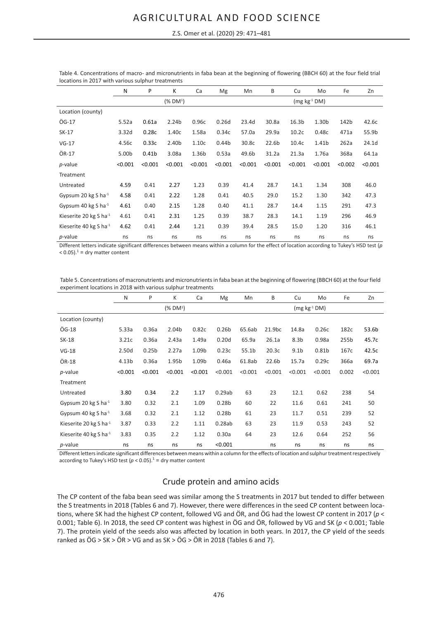#### Z.S. Omer et al. (2020) 29: 471–481

|                              | N       | P                 | K                    | Ca      | Mg                | Mn      | B                 | Cu                | Mo             | Fe      | Zn      |
|------------------------------|---------|-------------------|----------------------|---------|-------------------|---------|-------------------|-------------------|----------------|---------|---------|
|                              |         |                   | (% DM <sup>1</sup> ) |         |                   |         |                   |                   | $(mg kg-1 DM)$ |         |         |
| Location (county)            |         |                   |                      |         |                   |         |                   |                   |                |         |         |
| ÖG-17                        | 5.52a   | 0.61a             | 2.24 <sub>b</sub>    | 0.96c   | 0.26d             | 23.4d   | 30.8a             | 16.3 <sub>b</sub> | 1.30b          | 142b    | 42.6c   |
| SK-17                        | 3.32d   | 0.28c             | 1.40c                | 1.58a   | 0.34c             | 57.0a   | 29.9a             | 10.2 <sub>c</sub> | 0.48c          | 471a    | 55.9b   |
| $VG-17$                      | 4.56с   | 0.33c             | 2.40b                | 1.10c   | 0.44 <sub>b</sub> | 30.8c   | 22.6 <sub>b</sub> | 10.4c             | 1.41b          | 262a    | 24.1d   |
| ÖR-17                        | 5.00b   | 0.41 <sub>b</sub> | 3.08a                | 1.36b   | 0.53a             | 49.6b   | 31.2a             | 21.3a             | 1.76a          | 368a    | 64.1a   |
| p-value                      | < 0.001 | < 0.001           | < 0.001              | < 0.001 | < 0.001           | < 0.001 | < 0.001           | < 0.001           | < 0.001        | < 0.002 | < 0.001 |
| Treatment                    |         |                   |                      |         |                   |         |                   |                   |                |         |         |
| Untreated                    | 4.59    | 0.41              | 2.27                 | 1.23    | 0.39              | 41.4    | 28.7              | 14.1              | 1.34           | 308     | 46.0    |
| Gypsum 20 kg S ha $^{-1}$    | 4.58    | 0.41              | 2.22                 | 1.28    | 0.41              | 40.5    | 29.0              | 15.2              | 1.30           | 342     | 47.3    |
| Gypsum 40 kg S ha $^{-1}$    | 4.61    | 0.40              | 2.15                 | 1.28    | 0.40              | 41.1    | 28.7              | 14.4              | 1.15           | 291     | 47.3    |
| Kieserite 20 kg S ha-1       | 4.61    | 0.41              | 2.31                 | 1.25    | 0.39              | 38.7    | 28.3              | 14.1              | 1.19           | 296     | 46.9    |
| Kieserite 40 kg S ha $^{-1}$ | 4.62    | 0.41              | 2.44                 | 1.21    | 0.39              | 39.4    | 28.5              | 15.0              | 1.20           | 316     | 46.1    |
| $p$ -value                   | ns      | ns                | ns                   | ns      | ns                | ns      | ns                | ns                | ns             | ns      | ns      |

Table 4. Concentrations of macro- and micronutrients in faba bean at the beginning of flowering (BBCH 60) at the four field trial locations in 2017 with various sulphur treatments

Different letters indicate significant differences between means within a column for the effect of location according to Tukey's HSD test (*p*   $<$  0.05).<sup>1</sup> = dry matter content

Table 5. Concentrations of macronutrients and micronutrients in faba bean at the beginning of flowering (BBCH 60) at the four field experiment locations in 2018 with various sulphur treatments

|                                    | N       | P                 | K                    | Ca      | Mg                | Mn      | B                 | Cu               | Mo             | Fe    | Zn      |
|------------------------------------|---------|-------------------|----------------------|---------|-------------------|---------|-------------------|------------------|----------------|-------|---------|
|                                    |         |                   | (% DM <sup>1</sup> ) |         |                   |         |                   |                  | $(mg kg-1 DM)$ |       |         |
| Location (county)                  |         |                   |                      |         |                   |         |                   |                  |                |       |         |
| ÖG-18                              | 5.33a   | 0.36a             | 2.04b                | 0.82c   | 0.26 <sub>b</sub> | 65.6ab  | 21.9bc            | 14.8a            | 0.26c          | 182c  | 53.6b   |
| SK-18                              | 3.21c   | 0.36a             | 2.43a                | 1.49a   | 0.20d             | 65.9a   | 26.1a             | 8.3 <sub>b</sub> | 0.98a          | 255b  | 45.7c   |
| $VG-18$                            | 2.50d   | 0.25 <sub>b</sub> | 2.27a                | 1.09b   | 0.23c             | 55.1b   | 20.3 <sub>c</sub> | 9.1 <sub>b</sub> | 0.81b          | 167c  | 42.5c   |
| ÖR-18                              | 4.13b   | 0.36a             | 1.95b                | 1.09b   | 0.46a             | 61.8ab  | 22.6 <sub>b</sub> | 15.7a            | 0.29c          | 366a  | 69.7a   |
| $p$ -value                         | < 0.001 | < 0.001           | < 0.001              | < 0.001 | < 0.001           | < 0.001 | < 0.001           | < 0.001          | < 0.001        | 0.002 | < 0.001 |
| Treatment                          |         |                   |                      |         |                   |         |                   |                  |                |       |         |
| Untreated                          | 3.80    | 0.34              | 2.2                  | 1.17    | 0.29ab            | 63      | 23                | 12.1             | 0.62           | 238   | 54      |
| Gypsum 20 kg S ha $^{-1}$          | 3.80    | 0.32              | 2.1                  | 1.09    | 0.28 <sub>b</sub> | 60      | 22                | 11.6             | 0.61           | 241   | 50      |
| Gypsum 40 kg S ha <sup>-1</sup>    | 3.68    | 0.32              | 2.1                  | 1.12    | 0.28 <sub>b</sub> | 61      | 23                | 11.7             | 0.51           | 239   | 52      |
| Kieserite 20 kg S ha <sup>-1</sup> | 3.87    | 0.33              | 2.2                  | 1.11    | 0.28ab            | 63      | 23                | 11.9             | 0.53           | 243   | 52      |
| Kieserite 40 kg S ha <sup>-1</sup> | 3.83    | 0.35              | 2.2                  | 1.12    | 0.30a             | 64      | 23                | 12.6             | 0.64           | 252   | 56      |
| <i>p</i> -value                    | ns      | ns                | ns                   | ns      | < 0.001           |         | ns                | ns               | ns             | ns    | ns      |

Different letters indicate significant differences between means within a column for the effects of location and sulphur treatment respectively according to Tukey's HSD test  $(p < 0.05)$ .<sup>1</sup> = dry matter content

### Crude protein and amino acids

The CP content of the faba bean seed was similar among the S treatments in 2017 but tended to differ between the S treatments in 2018 (Tables 6 and 7). However, there were differences in the seed CP content between locations, where SK had the highest CP content, followed VG and ÖR, and ÖG had the lowest CP content in 2017 (*p* < 0.001; Table 6). In 2018, the seed CP content was highest in ÖG and ÖR, followed by VG and SK (*p* < 0.001; Table 7). The protein yield of the seeds also was affected by location in both years. In 2017, the CP yield of the seeds ranked as  $\ddot{O}G > SK > \ddot{O}R > VG$  and as  $SK > \ddot{O}G > \ddot{O}R$  in 2018 (Tables 6 and 7).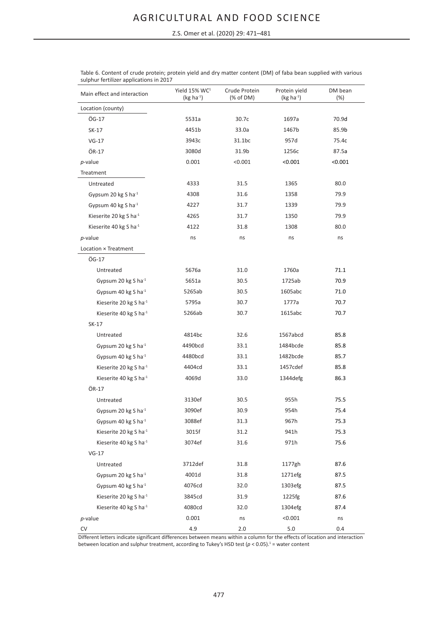Z.S. Omer et al. (2020) 29: 471–481

| Main effect and interaction        | Yield 15% WC <sup>1</sup><br>$(kg ha-1)$ | Crude Protein<br>(% of DM) | Protein yield<br>$(kg ha-1)$ | DM bean<br>(%) |
|------------------------------------|------------------------------------------|----------------------------|------------------------------|----------------|
| Location (county)                  |                                          |                            |                              |                |
| ÖG-17                              | 5531a                                    | 30.7c                      | 1697a                        | 70.9d          |
| SK-17                              | 4451b                                    | 33.0a                      | 1467b                        | 85.9b          |
| $VG-17$                            | 3943c                                    | 31.1bc                     | 957d                         | 75.4c          |
| ÖR-17                              | 3080d                                    | 31.9b                      | 1256c                        | 87.5a          |
| $p$ -value                         | 0.001                                    | < 0.001                    | < 0.001                      | < 0.001        |
| Treatment                          |                                          |                            |                              |                |
| Untreated                          | 4333                                     | 31.5                       | 1365                         | 80.0           |
| Gypsum 20 kg S ha $^{-1}$          | 4308                                     | 31.6                       | 1358                         | 79.9           |
| Gypsum 40 kg S ha <sup>-1</sup>    | 4227                                     | 31.7                       | 1339                         | 79.9           |
| Kieserite 20 kg S ha <sup>-1</sup> | 4265                                     | 31.7                       | 1350                         | 79.9           |
| Kieserite 40 kg S ha-1             | 4122                                     | 31.8                       | 1308                         | 80.0           |
| $p$ -value                         | ns                                       | ns                         | ns                           | ns             |
| Location × Treatment               |                                          |                            |                              |                |
| ÖG-17                              |                                          |                            |                              |                |
| Untreated                          | 5676a                                    | 31.0                       | 1760a                        | 71.1           |
| Gypsum 20 kg S ha-1                | 5651a                                    | 30.5                       | 1725ab                       | 70.9           |
| Gypsum 40 kg S ha <sup>-1</sup>    | 5265ab                                   | 30.5                       | 1605abc                      | 71.0           |
| Kieserite 20 kg S ha <sup>-1</sup> | 5795a                                    | 30.7                       | 1777a                        | 70.7           |
| Kieserite 40 kg S ha <sup>-1</sup> | 5266ab                                   | 30.7                       | 1615abc                      | 70.7           |
| SK-17                              |                                          |                            |                              |                |
| Untreated                          | 4814bc                                   | 32.6                       | 1567abcd                     | 85.8           |
| Gypsum 20 kg S ha-1                | 4490bcd                                  | 33.1                       | 1484bcde                     | 85.8           |
| Gypsum 40 kg S ha <sup>-1</sup>    | 4480bcd                                  | 33.1                       | 1482bcde                     | 85.7           |
| Kieserite 20 kg S ha <sup>-1</sup> | 4404cd                                   | 33.1                       | 1457cdef                     | 85.8           |
| Kieserite 40 kg S ha <sup>-1</sup> | 4069d                                    | 33.0                       | 1344defg                     | 86.3           |
| ÖR-17                              |                                          |                            |                              |                |
| Untreated                          | 3130ef                                   | 30.5                       | 955h                         | 75.5           |
| Gypsum 20 kg S ha <sup>-1</sup>    | 3090ef                                   | 30.9                       | 954h                         | 75.4           |
| Gypsum 40 kg S ha <sup>-1</sup>    | 3088ef                                   | 31.3                       | 967h                         | 75.3           |
| Kieserite 20 kg S ha <sup>-1</sup> | 3015f                                    | 31.2                       | 941h                         | 75.3           |
| Kieserite 40 kg S ha-1             | 3074ef                                   | 31.6                       | 971h                         | 75.6           |
| $VG-17$                            |                                          |                            |                              |                |
| Untreated                          | 3712def                                  | 31.8                       | 1177gh                       | 87.6           |
| Gypsum 20 kg S ha-1                | 4001d                                    | 31.8                       | 1271efg                      | 87.5           |
| Gypsum 40 kg S ha-1                | 4076cd                                   | 32.0                       | 1303efg                      | 87.5           |
| Kieserite 20 kg S ha-1             | 3845cd                                   | 31.9                       | 1225fg                       | 87.6           |
| Kieserite 40 kg S ha <sup>-1</sup> | 4080cd                                   | 32.0                       | 1304efg                      | 87.4           |
| $p$ -value                         | 0.001                                    | ns                         | < 0.001                      | ns             |
| CV                                 | 4.9                                      | 2.0                        | $5.0$                        | 0.4            |

Table 6. Content of crude protein; protein yield and dry matter content (DM) of faba bean supplied with various sulphur fertilizer applications in 2017

Different letters indicate significant differences between means within a column for the effects of location and interaction between location and sulphur treatment, according to Tukey's HSD test ( $p < 0.05$ ).<sup>1</sup> = water content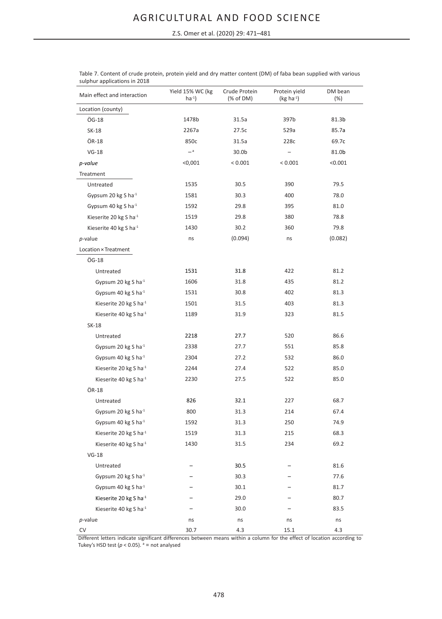Z.S. Omer et al. (2020) 29: 471–481

| Main effect and interaction        | Yield 15% WC (kg<br>$ha^{-1}$ | Crude Protein<br>(% of DM) | Protein yield<br>$(kg ha-1)$ | DM bean<br>(%) |
|------------------------------------|-------------------------------|----------------------------|------------------------------|----------------|
| Location (county)                  |                               |                            |                              |                |
| ÖG-18                              | 1478b                         | 31.5a                      | 397b                         | 81.3b          |
| SK-18                              | 2267a                         | 27.5c                      | 529a                         | 85.7a          |
| ÖR-18                              | 850c                          | 31.5a                      | 228c                         | 69.7c          |
| $VG-18$                            | $-$ a                         | 30.0b                      |                              | 81.0b          |
| p-value                            | < 0,001                       | < 0.001                    | < 0.001                      | < 0.001        |
| Treatment                          |                               |                            |                              |                |
| Untreated                          | 1535                          | 30.5                       | 390                          | 79.5           |
| Gypsum 20 kg S ha-1                | 1581                          | 30.3                       | 400                          | 78.0           |
| Gypsum 40 kg S ha-1                | 1592                          | 29.8                       | 395                          | 81.0           |
| Kieserite 20 kg S ha-1             | 1519                          | 29.8                       | 380                          | 78.8           |
| Kieserite 40 kg S ha-1             | 1430                          | 30.2                       | 360                          | 79.8           |
| $p$ -value                         | ns                            | (0.094)                    | ns                           | (0.082)        |
| Location × Treatment               |                               |                            |                              |                |
| ÖG-18                              |                               |                            |                              |                |
| Untreated                          | 1531                          | 31.8                       | 422                          | 81.2           |
| Gypsum 20 kg S ha-1                | 1606                          | 31.8                       | 435                          | 81.2           |
| Gypsum 40 kg S ha-1                | 1531                          | 30.8                       | 402                          | 81.3           |
| Kieserite 20 kg S ha-1             | 1501                          | 31.5                       | 403                          | 81.3           |
| Kieserite 40 kg S ha-1             | 1189                          | 31.9                       | 323                          | 81.5           |
| SK-18                              |                               |                            |                              |                |
| Untreated                          | 2218                          | 27.7                       | 520                          | 86.6           |
| Gypsum 20 kg S ha-1                | 2338                          | 27.7                       | 551                          | 85.8           |
| Gypsum 40 kg S ha-1                | 2304                          | 27.2                       | 532                          | 86.0           |
| Kieserite 20 kg S ha-1             | 2244                          | 27.4                       | 522                          | 85.0           |
| Kieserite 40 kg S ha-1             | 2230                          | 27.5                       | 522                          | 85.0           |
| ÖR-18                              |                               |                            |                              |                |
| Untreated                          | 826                           | 32.1                       | 227                          | 68.7           |
| Gypsum 20 kg S ha-1                | 800                           | 31.3                       | 214                          | 67.4           |
| Gypsum 40 kg S ha-1                | 1592                          | 31.3                       | 250                          | 74.9           |
| Kieserite 20 kg S ha-1             | 1519                          | 31.3                       | 215                          | 68.3           |
| Kieserite 40 kg S ha <sup>-1</sup> | 1430                          | 31.5                       | 234                          | 69.2           |
| $VG-18$                            |                               |                            |                              |                |
| Untreated                          |                               | 30.5                       |                              | 81.6           |
| Gypsum 20 kg S ha-1                |                               | 30.3                       |                              | 77.6           |
| Gypsum 40 kg S ha-1                |                               | 30.1                       |                              | 81.7           |
| Kieserite 20 kg S ha-1             |                               | 29.0                       |                              | 80.7           |
| Kieserite 40 kg S ha-1             |                               | 30.0                       |                              | 83.5           |
| $p$ -value                         | ns                            | ns                         | ns                           | ns             |
| CV                                 | 30.7                          | 4.3                        | 15.1                         | 4.3            |

| Table 7. Content of crude protein, protein yield and dry matter content (DM) of faba bean supplied with various |  |  |
|-----------------------------------------------------------------------------------------------------------------|--|--|
| sulphur applications in 2018                                                                                    |  |  |

Different letters indicate significant differences between means within a column for the effect of location according to Tukey's HSD test  $(p < 0.05)$ .  $a = not analyzed$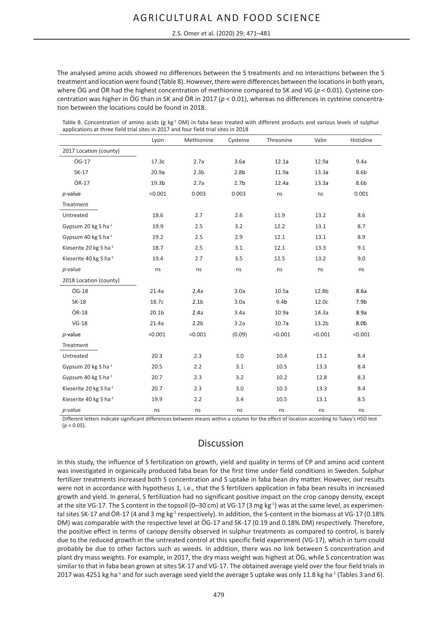The analysed amino acids showed no differences between the S treatments and no interactions between the S treatment and location were found (Table 8). However, there were differences between the locations in both years, where ÖG and ÖR had the highest concentration of methionine compared to SK and VG ( $p < 0.01$ ). Cysteine concentration was higher in ÖG than in SK and ÖR in 2017 (*p* < 0.01), whereas no differences in cysteine concentration between the locations could be found in 2018.

Table 8. Concentration of amino acids (g kg $1$  DM) in faba bean treated with different products and various levels of sulphur applications at three field trial sites in 2017 and four field trial sites in 2018

|                                    | Lysin             | Methionine       | Cysteine         | Threonine        | Valin             | Histidine        |
|------------------------------------|-------------------|------------------|------------------|------------------|-------------------|------------------|
| 2017 Location (county)             |                   |                  |                  |                  |                   |                  |
| ÖG-17                              | 17.3c             | 2.7a             | 3.6a             | 12.1a            | 12.9a             | 9.4a             |
| SK-17                              | 20.9a             | 2.3 <sub>b</sub> | 2.8 <sub>b</sub> | 11.9a            | 13.3a             | 8.6b             |
| ÖR-17                              | 19.3 <sub>b</sub> | 2.7a             | 2.7 <sub>b</sub> | 12.4a            | 13.3a             | 8.6b             |
| $p$ -value                         | < 0.001           | 0.003            | 0.003            | ns               | ns                | 0.001            |
| Treatment                          |                   |                  |                  |                  |                   |                  |
| Untreated                          | 18.6              | 2.7              | 2.6              | 11.9             | 13.2              | 8.6              |
| Gypsum 20 kg S ha <sup>-1</sup>    | 19.9              | 2.5              | 3.2              | 12.2             | 13.1              | 8.7              |
| Gypsum 40 kg S ha <sup>-1</sup>    | 19.2              | 2.5              | 2.9              | 12.1             | 13.1              | 8.9              |
| Kieserite 20 kg S ha-1             | 18.7              | 2.5              | 3.1              | 12.1             | 13.3              | 9.1              |
| Kieserite 40 kg S ha <sup>-1</sup> | 19.4              | 2.7              | 3.5              | 12.5             | 13.2              | 9.0              |
| $p$ -value                         | ns                | ns               | ns               | ns               | ns                | ns               |
| 2018 Location (county)             |                   |                  |                  |                  |                   |                  |
| ÖG-18                              | 21.4a             | 2.4a             | 3.0a             | 10.5a            | 12.8b             | 8.6a             |
| <b>SK-18</b>                       | 18.7c             | 2.1 <sub>b</sub> | 3.0a             | 9.4 <sub>b</sub> | 12.0c             | 7.9 <sub>b</sub> |
| ÖR-18                              | 20.1 <sub>b</sub> | 2.4a             | 3.4a             | 10.9a            | 14.3a             | 8.9a             |
| $VG-18$                            | 21.4a             | 2.2 <sub>b</sub> | 3.2a             | 10.7a            | 13.2 <sub>b</sub> | 8.0 <sub>b</sub> |
| $p$ -value                         | < 0.001           | < 0.001          | (0.09)           | < 0.001          | < 0.001           | < 0.001          |
| Treatment                          |                   |                  |                  |                  |                   |                  |
| Untreated                          | 20.3              | 2.3              | 3.0              | 10.4             | 13.1              | 8.4              |
| Gypsum 20 kg S ha <sup>-1</sup>    | 20.5              | 2.2              | 3.1              | 10.5             | 13.3              | 8.4              |
| Gypsum 40 kg S ha <sup>-1</sup>    | 20.7              | 2.3              | 3.2              | 10.2             | 12.8              | 8.3              |
| Kieserite 20 kg S ha-1             | 20.7              | 2.3              | 3.0              | 10.3             | 13.3              | 8.4              |
| Kieserite 40 kg S ha <sup>-1</sup> | 19.9              | 2.2              | 3.4              | 10.5             | 13.1              | 8.5              |
| $p$ -value                         | ns                | ns               | ns               | ns               | ns                | ns               |

Different letters indicate significant differences between means within a column for the effect of location according to Tukey's HSD test  $(p < 0.05)$ .

## **Discussion**

In this study, the influence of S fertilization on growth, yield and quality in terms of CP and amino acid content was investigated in organically produced faba bean for the first time under field conditions in Sweden. Sulphur fertilizer treatments increased both S concentration and S uptake in faba bean dry matter. However, our results were not in accordance with hypothesis 1, i.e., that the S fertilizers application in faba bean results in increased growth and yield. In general, S fertilization had no significant positive impact on the crop canopy density, except at the site VG-17. The S content in the topsoil (0-30 cm) at VG-17 (3 mg kg<sup>-1</sup>) was at the same level, as experimental sites SK-17 and ÖR-17 (4 and 3 mg kg<sup>-1</sup> respectively). In addition, the S-content in the biomass at VG-17 (0.18% DM) was comparable with the respective level at ÖG-17 and SK-17 (0.19 and 0.18% DM) respectively. Therefore, the positive effect in terms of canopy density observed in sulphur treatments as compared to control, is barely due to the reduced growth in the untreated control at this specific field experiment (VG-17), which in turn could probably be due to other factors such as weeds. In addition, there was no link between S concentration and plant dry mass weights. For example, in 2017, the dry mass weight was highest at ÖG, while S concentration was similar to that in faba bean grown at sites SK-17 and VG-17. The obtained average yield over the four field trials in 2017 was 4251 kg ha<sup>-1</sup> and for such average seed yield the average S uptake was only 11.8 kg ha<sup>-1</sup> (Tables 3 and 6).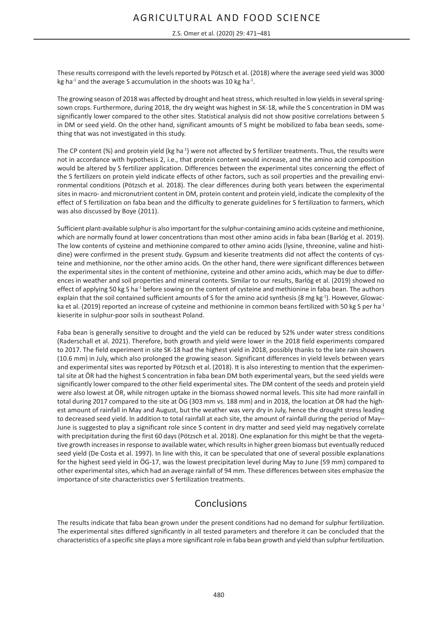#### Z.S. Omer et al. (2020) 29: 471–481

These results correspond with the levels reported by Pötzsch et al. (2018) where the average seed yield was 3000 kg ha<sup>-1</sup> and the average S accumulation in the shoots was 10 kg ha<sup>-1</sup>.

The growing season of 2018 was affected by drought and heat stress, which resulted in low yields in several springsown crops. Furthermore, during 2018, the dry weight was highest in SK-18, while the S concentration in DM was significantly lower compared to the other sites. Statistical analysis did not show positive correlations between S in DM or seed yield. On the other hand, significant amounts of S might be mobilized to faba bean seeds, something that was not investigated in this study.

The CP content (%) and protein yield (kg ha<sup>-1</sup>) were not affected by S fertilizer treatments. Thus, the results were not in accordance with hypothesis 2, i.e., that protein content would increase, and the amino acid composition would be altered by S fertilizer application. Differences between the experimental sites concerning the effect of the S fertilizers on protein yield indicate effects of other factors, such as soil properties and the prevailing environmental conditions (Pötzsch et al. 2018). The clear differences during both years between the experimental sites in macro- and micronutrient content in DM, protein content and protein yield, indicate the complexity of the effect of S fertilization on faba bean and the difficulty to generate guidelines for S fertilization to farmers, which was also discussed by Boye (2011).

Sufficient plant-available sulphur is also important for the sulphur-containing amino acids cysteine and methionine, which are normally found at lower concentrations than most other amino acids in faba bean (Barlóg et al. 2019). The low contents of cysteine and methionine compared to other amino acids (lysine, threonine, valine and histidine) were confirmed in the present study. Gypsum and kieserite treatments did not affect the contents of cysteine and methionine, nor the other amino acids. On the other hand, there were significant differences between the experimental sites in the content of methionine, cysteine and other amino acids, which may be due to differences in weather and soil properties and mineral contents. Similar to our results, Barlóg et al. (2019) showed no effect of applying 50 kg S ha<sup>-1</sup> before sowing on the content of cysteine and methionine in faba bean. The authors explain that the soil contained sufficient amounts of S for the amino acid synthesis (8 mg kg-1). However, Glowacka et al. (2019) reported an increase of cysteine and methionine in common beans fertilized with 50 kg S per ha<sup>-1</sup> kieserite in sulphur-poor soils in southeast Poland.

Faba bean is generally sensitive to drought and the yield can be reduced by 52% under water stress conditions (Raderschall et al. 2021). Therefore, both growth and yield were lower in the 2018 field experiments compared to 2017. The field experiment in site SK-18 had the highest yield in 2018, possibly thanks to the late rain showers (10.6 mm) in July, which also prolonged the growing season. Significant differences in yield levels between years and experimental sites was reported by Pötzsch et al. (2018). It is also interesting to mention that the experimental site at ÖR had the highest S concentration in faba bean DM both experimental years, but the seed yields were significantly lower compared to the other field experimental sites. The DM content of the seeds and protein yield were also lowest at ÖR, while nitrogen uptake in the biomass showed normal levels. This site had more rainfall in total during 2017 compared to the site at ÖG (303 mm vs. 188 mm) and in 2018, the location at ÖR had the highest amount of rainfall in May and August, but the weather was very dry in July, hence the drought stress leading to decreased seed yield. In addition to total rainfall at each site, the amount of rainfall during the period of May– June is suggested to play a significant role since S content in dry matter and seed yield may negatively correlate with precipitation during the first 60 days (Pötzsch et al. 2018). One explanation for this might be that the vegetative growth increases in response to available water, which results in higher green biomass but eventually reduced seed yield (De Costa et al. 1997). In line with this, it can be speculated that one of several possible explanations for the highest seed yield in ÖG-17, was the lowest precipitation level during May to June (59 mm) compared to other experimental sites, which had an average rainfall of 94 mm. These differences between sites emphasize the importance of site characteristics over S fertilization treatments.

## Conclusions

The results indicate that faba bean grown under the present conditions had no demand for sulphur fertilization. The experimental sites differed significantly in all tested parameters and therefore it can be concluded that the characteristics of a specific site plays a more significant role in faba bean growth and yield than sulphur fertilization.